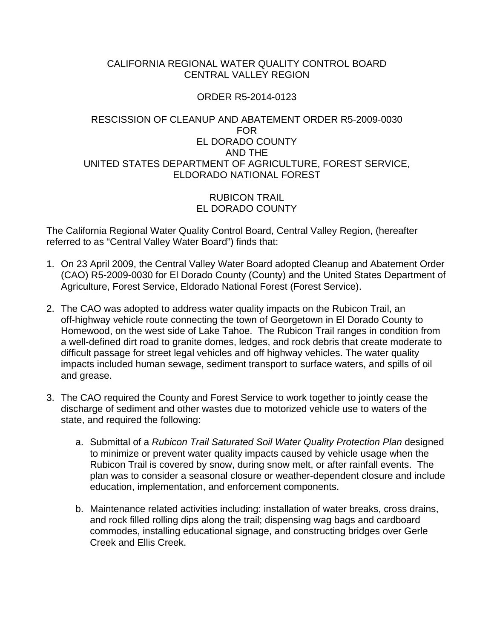## CALIFORNIA REGIONAL WATER QUALITY CONTROL BOARD CENTRAL VALLEY REGION

## ORDER R5-2014-0123

## RESCISSION OF CLEANUP AND ABATEMENT ORDER R5-2009-0030 FOR EL DORADO COUNTY AND THE UNITED STATES DEPARTMENT OF AGRICULTURE, FOREST SERVICE, ELDORADO NATIONAL FOREST

## RUBICON TRAIL EL DORADO COUNTY

The California Regional Water Quality Control Board, Central Valley Region, (hereafter referred to as "Central Valley Water Board") finds that:

- 1. On 23 April 2009, the Central Valley Water Board adopted Cleanup and Abatement Order (CAO) R5-2009-0030 for El Dorado County (County) and the United States Department of Agriculture, Forest Service, Eldorado National Forest (Forest Service).
- 2. The CAO was adopted to address water quality impacts on the Rubicon Trail, an off-highway vehicle route connecting the town of Georgetown in El Dorado County to Homewood, on the west side of Lake Tahoe. The Rubicon Trail ranges in condition from a well-defined dirt road to granite domes, ledges, and rock debris that create moderate to difficult passage for street legal vehicles and off highway vehicles. The water quality impacts included human sewage, sediment transport to surface waters, and spills of oil and grease.
- 3. The CAO required the County and Forest Service to work together to jointly cease the discharge of sediment and other wastes due to motorized vehicle use to waters of the state, and required the following:
	- a. Submittal of a *Rubicon Trail Saturated Soil Water Quality Protection Plan* designed to minimize or prevent water quality impacts caused by vehicle usage when the Rubicon Trail is covered by snow, during snow melt, or after rainfall events. The plan was to consider a seasonal closure or weather-dependent closure and include education, implementation, and enforcement components.
	- b. Maintenance related activities including: installation of water breaks, cross drains, and rock filled rolling dips along the trail; dispensing wag bags and cardboard commodes, installing educational signage, and constructing bridges over Gerle Creek and Ellis Creek.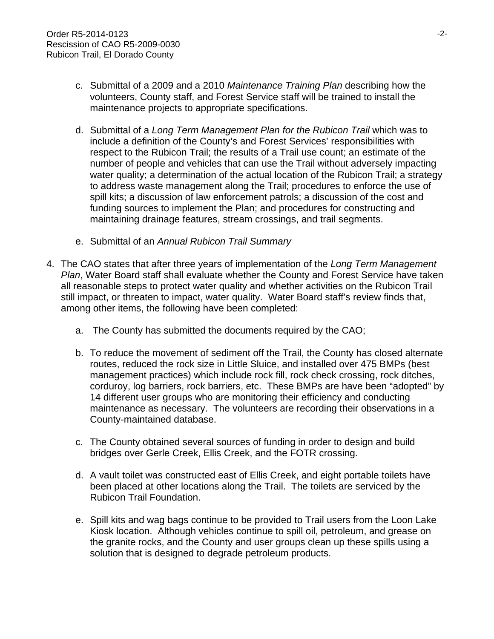- c. Submittal of a 2009 and a 2010 *Maintenance Training Plan* describing how the volunteers, County staff, and Forest Service staff will be trained to install the maintenance projects to appropriate specifications.
- d. Submittal of a *Long Term Management Plan for the Rubicon Trail* which was to include a definition of the County's and Forest Services' responsibilities with respect to the Rubicon Trail; the results of a Trail use count; an estimate of the number of people and vehicles that can use the Trail without adversely impacting water quality; a determination of the actual location of the Rubicon Trail; a strategy to address waste management along the Trail; procedures to enforce the use of spill kits; a discussion of law enforcement patrols; a discussion of the cost and funding sources to implement the Plan; and procedures for constructing and maintaining drainage features, stream crossings, and trail segments.
- e. Submittal of an *Annual Rubicon Trail Summary*
- 4. The CAO states that after three years of implementation of the *Long Term Management Plan*, Water Board staff shall evaluate whether the County and Forest Service have taken all reasonable steps to protect water quality and whether activities on the Rubicon Trail still impact, or threaten to impact, water quality. Water Board staff's review finds that, among other items, the following have been completed:
	- a. The County has submitted the documents required by the CAO;
	- b. To reduce the movement of sediment off the Trail, the County has closed alternate routes, reduced the rock size in Little Sluice, and installed over 475 BMPs (best management practices) which include rock fill, rock check crossing, rock ditches, corduroy, log barriers, rock barriers, etc. These BMPs are have been "adopted" by 14 different user groups who are monitoring their efficiency and conducting maintenance as necessary. The volunteers are recording their observations in a County-maintained database.
	- c. The County obtained several sources of funding in order to design and build bridges over Gerle Creek, Ellis Creek, and the FOTR crossing.
	- d. A vault toilet was constructed east of Ellis Creek, and eight portable toilets have been placed at other locations along the Trail. The toilets are serviced by the Rubicon Trail Foundation.
	- e. Spill kits and wag bags continue to be provided to Trail users from the Loon Lake Kiosk location. Although vehicles continue to spill oil, petroleum, and grease on the granite rocks, and the County and user groups clean up these spills using a solution that is designed to degrade petroleum products.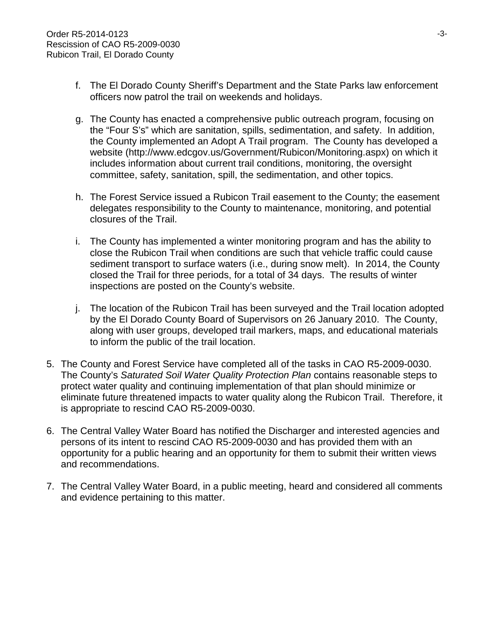- f. The El Dorado County Sheriff's Department and the State Parks law enforcement officers now patrol the trail on weekends and holidays.
- g. The County has enacted a comprehensive public outreach program, focusing on the "Four S's" which are sanitation, spills, sedimentation, and safety. In addition, the County implemented an Adopt A Trail program. The County has developed a website (http://www.edcgov.us/Government/Rubicon/Monitoring.aspx) on which it includes information about current trail conditions, monitoring, the oversight committee, safety, sanitation, spill, the sedimentation, and other topics.
- h. The Forest Service issued a Rubicon Trail easement to the County; the easement delegates responsibility to the County to maintenance, monitoring, and potential closures of the Trail.
- i. The County has implemented a winter monitoring program and has the ability to close the Rubicon Trail when conditions are such that vehicle traffic could cause sediment transport to surface waters (i.e., during snow melt). In 2014, the County closed the Trail for three periods, for a total of 34 days. The results of winter inspections are posted on the County's website.
- j. The location of the Rubicon Trail has been surveyed and the Trail location adopted by the El Dorado County Board of Supervisors on 26 January 2010. The County, along with user groups, developed trail markers, maps, and educational materials to inform the public of the trail location.
- 5. The County and Forest Service have completed all of the tasks in CAO R5-2009-0030. The County's *Saturated Soil Water Quality Protection Plan* contains reasonable steps to protect water quality and continuing implementation of that plan should minimize or eliminate future threatened impacts to water quality along the Rubicon Trail. Therefore, it is appropriate to rescind CAO R5-2009-0030.
- 6. The Central Valley Water Board has notified the Discharger and interested agencies and persons of its intent to rescind CAO R5-2009-0030 and has provided them with an opportunity for a public hearing and an opportunity for them to submit their written views and recommendations.
- 7. The Central Valley Water Board, in a public meeting, heard and considered all comments and evidence pertaining to this matter.